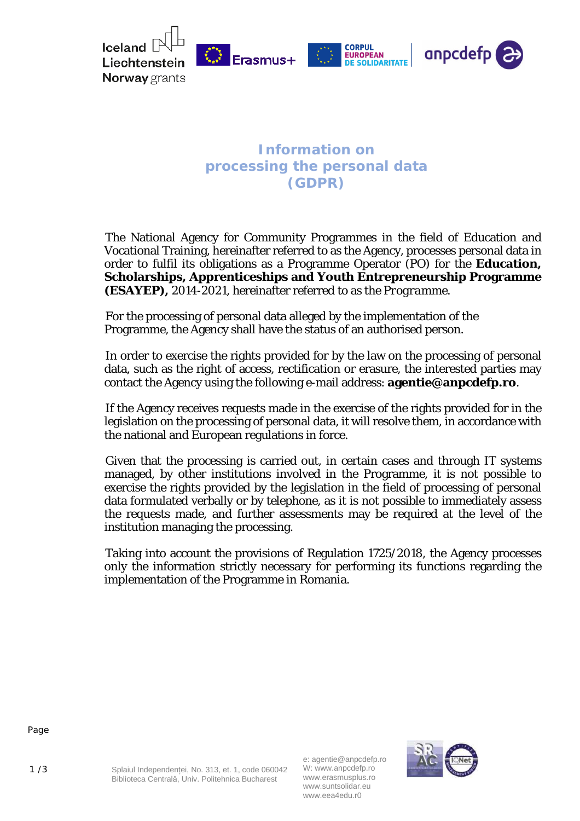

## **Information on processing the personal data (GDPR)**

The National Agency for Community Programmes in the field of Education and Vocational Training, hereinafter referred to as the Agency, processes personal data in order to fulfil its obligations as a Programme Operator (PO) for the **Education, Scholarships, Apprenticeships and Youth Entrepreneurship Programme (ESAYEP),** 2014-2021, hereinafter referred to as the *Programme.*

For the processing of personal data alleged by the implementation of the Programme, the Agency shall have the status of an authorised person.

In order to exercise the rights provided for by the law on the processing of personal data, such as the right of access, rectification or erasure, the interested parties may contact the Agency using the following e-mail address: **[agentie@anpcdefp.ro](mailto:agentie@anpcdefp.ro)**.

If the Agency receives requests made in the exercise of the rights provided for in the legislation on the processing of personal data, it will resolve them, in accordance with the national and European regulations in force.

Given that the processing is carried out, in certain cases and through IT systems managed, by other institutions involved in the Programme, it is not possible to exercise the rights provided by the legislation in the field of processing of personal data formulated verbally or by telephone, as it is not possible to immediately assess the requests made, and further assessments may be required at the level of the institution managing the processing.

Taking into account the provisions of Regulation 1725/2018, the Agency processes only the information strictly necessary for performing its functions regarding the implementation of the Programme in Romania.



1 /3 Splaiul Independenței, No. 313, et. 1, code 060042 Biblioteca Centrală, Univ. Politehnica Bucharest

e: agentie@anpcdefp.ro W: www.anpcdefp.ro www.erasmusplus.ro www.suntsolidar.eu www.eea4edu.r0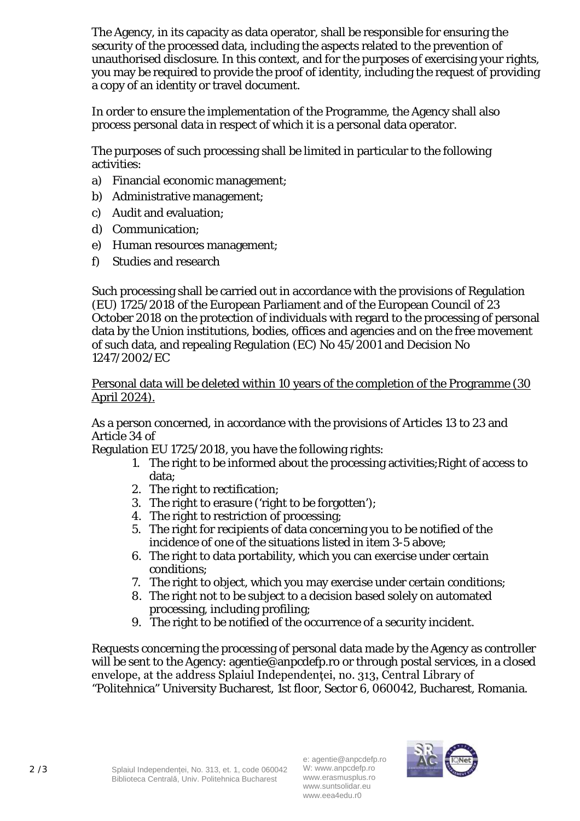The Agency, in its capacity as data operator, shall be responsible for ensuring the security of the processed data, including the aspects related to the prevention of unauthorised disclosure. In this context, and for the purposes of exercising your rights, you may be required to provide the proof of identity, including the request of providing a copy of an identity or travel document.

In order to ensure the implementation of the Programme, the Agency shall also process personal data in respect of which it is a personal data operator.

The purposes of such processing shall be limited in particular to the following activities:

- a) Financial economic management;
- b) Administrative management;
- c) Audit and evaluation;
- d) Communication;
- e) Human resources management;
- f) Studies and research

Such processing shall be carried out in accordance with the provisions of Regulation (EU) 1725/2018 of the European Parliament and of the European Council of 23 October 2018 on the protection of individuals with regard to the processing of personal data by the Union institutions, bodies, offices and agencies and on the free movement of such data, and repealing Regulation (EC) No 45/2001 and Decision No 1247/2002/EC

## Personal data will be deleted within 10 years of the completion of the Programme (30 April 2024).

As a person concerned, in accordance with the provisions of Articles 13 to 23 and Article 34 of

Regulation EU 1725/2018, you have the following rights:

- 1. The right to be informed about the processing activities;Right of access to data;
- 2. The right to rectification;
- 3. The right to erasure ('right to be forgotten');
- 4. The right to restriction of processing;
- 5. The right for recipients of data concerning you to be notified of the incidence of one of the situations listed in item 3-5 above;
- 6. The right to data portability, which you can exercise under certain conditions;
- 7. The right to object, which you may exercise under certain conditions;
- 8. The right not to be subject to a decision based solely on automated processing, including profiling;
- 9. The right to be notified of the occurrence of a security incident.

Requests concerning the processing of personal data made by the Agency as controller will be sent to the Agenc[y: agentie@anpcdefp.ro o](mailto:agentie@anpcdefp.ro)r through postal services, in a closed envelope, at the address Splaiul Independenței, no. 313, Central Library of "Politehnica" University Bucharest, 1st floor, Sector 6, 060042, Bucharest, Romania.